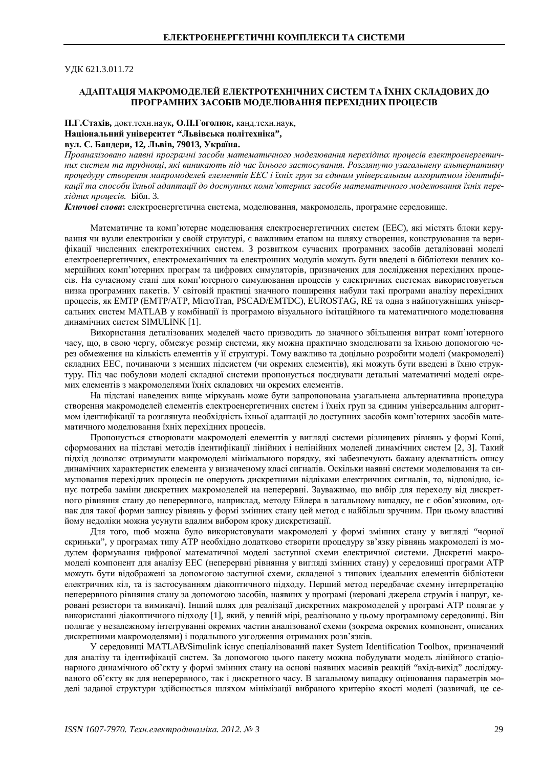ɍȾɄ 621.3.011.72

#### АДАПТАЦІЯ МАКРОМОДЕЛЕЙ ЕЛЕКТРОТЕХНІЧНИХ СИСТЕМ ТА ЇХНІХ СКЛАДОВИХ ДО ПРОГРАМНИХ ЗАСОБІВ МОДЕЛЮВАННЯ ПЕРЕХІДНИХ ПРОЦЕСІВ

#### П.Г.Стахів, докт.техн.наук, О.П.Гоголюк, канд.техн.наук, Національний університет "Львівська політехніка",  $B$ ул. С. Бандери, 12, Львів, 79013, Україна.

Проаналізовано наявні програмні засоби математичного моделювання перехідних процесів електроенергетич*ɧɢɯɫɢɫɬɟɦɬɚɬɪɭɞɧɨɳɿ, ɹɤɿɜɢɧɢɤɚɸɬɶɩɿɞɱɚɫʀɯɧɶɨɝɨɡɚɫɬɨɫɭɜɚɧɧɹ. Ɋɨɡɝɥɹɧɭɬɨɭɡɚɝɚɥɶɧɟɧɭɚɥɶɬɟɪɧɚɬɢɜɧɭ* процедуру створення макромоделей елементів ЕЕС і їхніх груп за єдиним універсальним алгоритмом ідентифікації та способи їхньої адаптації до доступних комп'ютерних засобів математичного моделювання їхніх пере*xiдних процесів.* Бібл. 3.

**Ключові слова:** електроенергетична система, моделювання, макромодель, програмне середовище,

Математичне та комп'ютерне моделювання електроенергетичних систем (ЕЕС), які містять блоки керування чи вузли електроніки у своїй структурі, є важливим етапом на шляху створення, конструювання та верифікації численних електротехнічних систем. З розвитком сучасних програмних засобів деталізовані моделі електроенергетичних, електромеханічних та електронних модулів можуть бути введені в бібліотеки певних комерційних комп'ютерних програм та цифрових симуляторів, призначених для дослідження перехідних процесів. На сучасному етапі для комп'ютерного симулювання процесів у електричних системах використовується низка програмних пакетів. У світовій практиці значного поширення набули такі програми аналізу перехідних процесів, як ЕМТР (ЕМТР/АТР, MicroTran, PSCAD/EMTDC), EUROSTAG, RE та одна з найпотужніших універсальних систем MATLAB у комбінації із програмою візуального імітаційного та математичного моделювання динамічних систем SIMULINK [1].

Використання деталізованих моделей часто призводить до значного збільшення витрат комп'ютерного часу, що, в свою чергу, обмежує розмір системи, яку можна практично змоделювати за їхньою допомогою через обмеження на кількість елементів у її структурі. Тому важливо та доцільно розробити моделі (макромоделі) складних ЕЕС, починаючи з менших підсистем (чи окремих елементів), які можуть бути введені в їхню структуру. Під час побудови моделі складної системи пропонується поєднувати детальні математичні моделі окремих елементів з макромоделями їхніх складових чи окремих елементів.

На підставі наведених вище міркувань може бути запропонована узагальнена альтернативна процедура створення макромоделей елементів електроенергетичних систем і їхніх груп за єдиним універсальним алгоритмом ідентифікації та розглянута необхідність їхньої адаптації до доступних засобів комп'ютерних засобів математичного молелювання їхніх перехілних процесів.

Пропонується створювати макромоделі елементів у вигляді системи різницевих рівнянь у формі Коші, сформованих на підставі методів ідентифікації лінійних і нелінійних моделей динамічних систем [2, 3]. Такий підхід дозволяє отримувати макромоделі мінімального порядку, які забезпечують бажану адекватність опису динамічних характеристик елемента у визначеному класі сигналів. Оскільки наявні системи моделювання та симулювання перехідних процесів не оперують дискретними відліками електричних сигналів, то, відповідно, існує потреба заміни дискретних макромоделей на неперервні. Зауважимо, що вибір для переходу від дискретного рівняння стану до неперервного, наприклад, методу Ейлера в загальному випадку, не є обов'язковим, однак для такої форми запису рівнянь у формі змінних стану цей метод є найбільш зручним. При цьому властиві йому недоліки можна усунути вдалим вибором кроку дискретизації.

Для того, щоб можна було використовувати макромоделі у формі змінних стану у вигляді "чорної скриньки", у програмах типу АТР необхідно додатково створити процедуру зв'язку рівнянь макромоделі із модулем формування цифрової математичної моделі заступної схеми електричної системи. Дискретні макромоделі компонент для аналізу ЕЕС (неперервні рівняння у вигляді змінних стану) у середовищі програми АТР можуть бути відображені за допомогою заступної схеми, складеної з типових ідеальних елементів бібліотеки електричних кіл, та із застосуванням діакоптичного підходу. Перший метод передбачає схемну інтерпретацію неперервного рівняння стану за допомогою засобів, наявних у програмі (керовані джерела струмів і напруг, керовані резистори та вимикачі). Інший шлях для реалізації дискретних макромоделей у програмі АТР полягає у використанні діакоптичного підходу [1], який, у певній мірі, реалізовано у цьому програмному середовищі. Він полягає у незалежному інтегруванні окремих частин аналізованої схеми (зокрема окремих компонент, описаних дискретними макромоделями) і подальшого узгодження отриманих розв'язків.

У середовиші MATLAB/Simulink існує спеціалізований пакет System Identification Toolbox, призначений для аналізу та ідентифікації систем. За допомогою цього пакету можна побудувати модель лінійного стаціонарного динамічного об'єкту у формі змінних стану на основі наявних масивів реакцій "вхід-вихід" досліджуваного об'єкту як для неперервного, так і дискретного часу. В загальному випадку оцінювання параметрів моделі заданої структури здійснюється шляхом мінімізації вибраного критерію якості моделі (зазвичай, це се